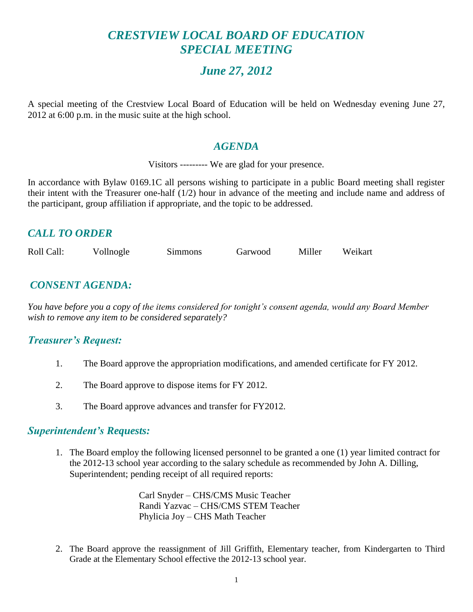# *CRESTVIEW LOCAL BOARD OF EDUCATION SPECIAL MEETING*

# *June 27, 2012*

A special meeting of the Crestview Local Board of Education will be held on Wednesday evening June 27, 2012 at 6:00 p.m. in the music suite at the high school.

#### *AGENDA*

Visitors --------- We are glad for your presence.

In accordance with Bylaw 0169.1C all persons wishing to participate in a public Board meeting shall register their intent with the Treasurer one-half (1/2) hour in advance of the meeting and include name and address of the participant, group affiliation if appropriate, and the topic to be addressed.

# *CALL TO ORDER*

| Roll Call: | Vollnogle | <b>Simmons</b> | Garwood | Miller | Weikart |
|------------|-----------|----------------|---------|--------|---------|
|            |           |                |         |        |         |

# *CONSENT AGENDA:*

*You have before you a copy of the items considered for tonight's consent agenda, would any Board Member wish to remove any item to be considered separately?*

#### *Treasurer's Request:*

- 1. The Board approve the appropriation modifications, and amended certificate for FY 2012.
- 2. The Board approve to dispose items for FY 2012.
- 3. The Board approve advances and transfer for FY2012.

#### *Superintendent's Requests:*

1. The Board employ the following licensed personnel to be granted a one (1) year limited contract for the 2012-13 school year according to the salary schedule as recommended by John A. Dilling, Superintendent; pending receipt of all required reports:

> Carl Snyder – CHS/CMS Music Teacher Randi Yazvac – CHS/CMS STEM Teacher Phylicia Joy – CHS Math Teacher

2. The Board approve the reassignment of Jill Griffith, Elementary teacher, from Kindergarten to Third Grade at the Elementary School effective the 2012-13 school year.